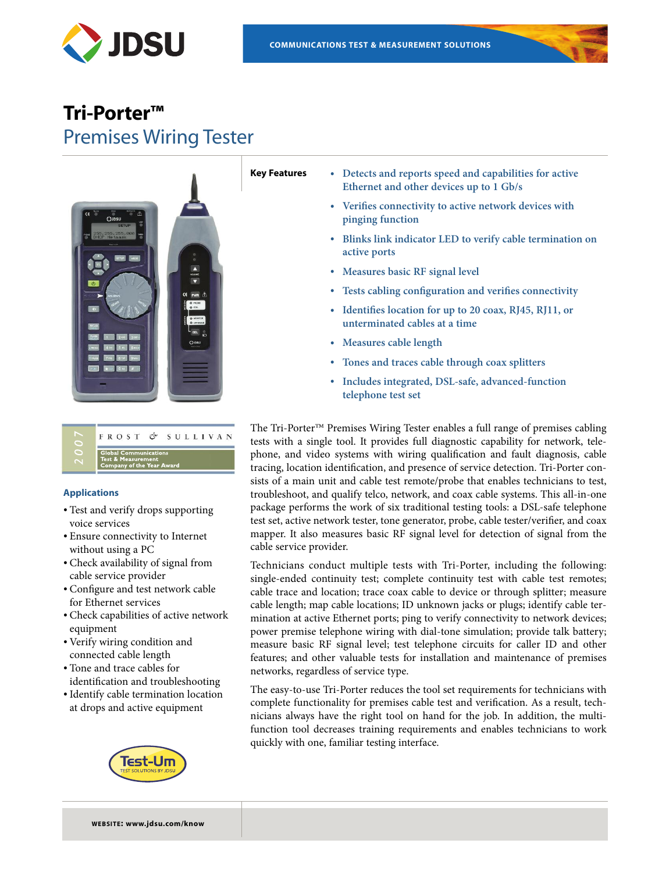

# **Tri-Porter™** Premises Wiring Tester



# FROST & SULLIVAN

#### **Applications**

- Test and verify drops supporting voice services
- Ensure connectivity to Internet without using a PC
- Check availability of signal from cable service provider
- Configure and test network cable for Ethernet services
- Check capabilities of active network equipment
- Verify wiring condition and connected cable length
- Tone and trace cables for identification and troubleshooting
- •Identify cable termination location at drops and active equipment



- **Key Features • Detects and reports speed and capabilities for active Ethernet and other devices up to 1 Gb/s**
	- **• Verifies connectivity to active network devices with pinging function**
	- **• Blinks link indicator LED to verify cable termination on active ports**
	- **• Measures basic RF signal level**
	- **• Tests cabling configuration and verifies connectivity**
	- **• Identifies location for up to 20 coax, RJ45, RJ11, or unterminated cables at a time**
	- **• Measures cable length**
	- **• Tones and traces cable through coax splitters**
	- **• Includes integrated, DSL-safe, advanced-function telephone test set**

The Tri-Porter™ Premises Wiring Tester enables a full range of premises cabling tests with a single tool. It provides full diagnostic capability for network, telephone, and video systems with wiring qualification and fault diagnosis, cable tracing, location identification, and presence of service detection. Tri-Porter consists of a main unit and cable test remote/probe that enables technicians to test, troubleshoot, and qualify telco, network, and coax cable systems. This all-in-one package performs the work of six traditional testing tools: a DSL-safe telephone test set, active network tester, tone generator, probe, cable tester/verifier, and coax mapper. It also measures basic RF signal level for detection of signal from the cable service provider.

Technicians conduct multiple tests with Tri-Porter, including the following: single-ended continuity test; complete continuity test with cable test remotes; cable trace and location; trace coax cable to device or through splitter; measure cable length; map cable locations; ID unknown jacks or plugs; identify cable termination at active Ethernet ports; ping to verify connectivity to network devices; power premise telephone wiring with dial-tone simulation; provide talk battery; measure basic RF signal level; test telephone circuits for caller ID and other features; and other valuable tests for installation and maintenance of premises networks, regardless of service type.

The easy-to-use Tri-Porter reduces the tool set requirements for technicians with complete functionality for premises cable test and verification. As a result, technicians always have the right tool on hand for the job. In addition, the multifunction tool decreases training requirements and enables technicians to work quickly with one, familiar testing interface.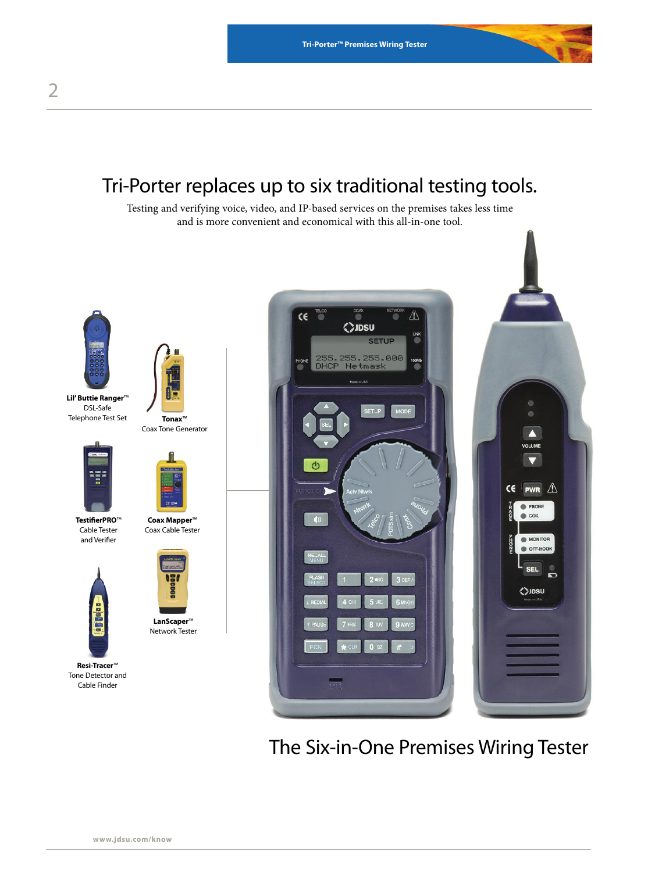# Tri-Porter replaces up to six traditional testing tools.

Testing and verifying voice, video, and IP-based services on the premises takes less time and is more convenient and economical with this all-in-one tool.



The Six-in-One Premises Wiring Tester

**Lil'Buttie Ranger**™ DSL-Safe Telephone Test Set

> **TestifierPRO**™ Cable Tester and Verifier

 $\frac{1}{2}$ 

**Resi-Tracer**™ Tone Detector and Cable Finder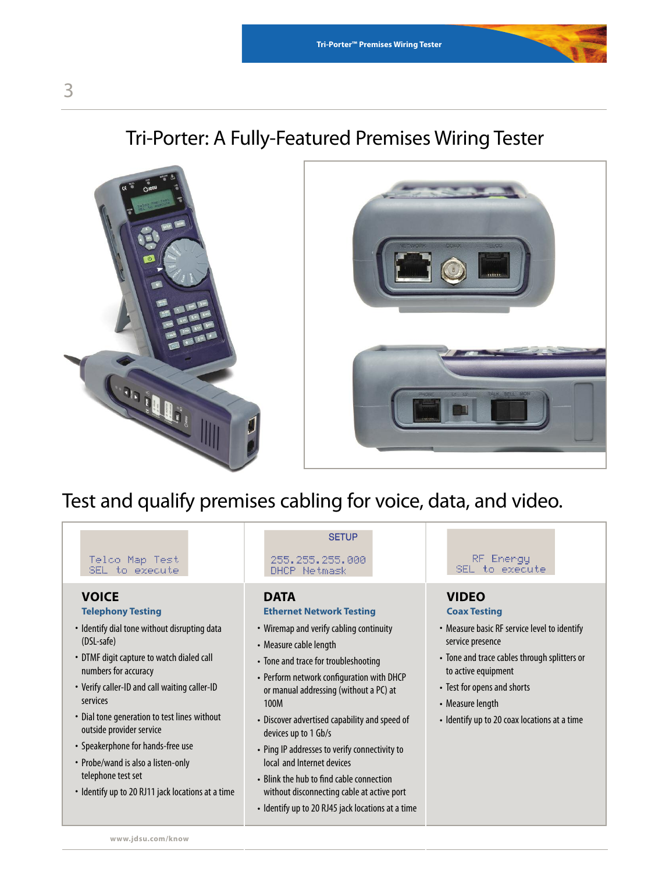# Tri-Porter: A Fully-Featured Premises Wiring Tester





# Test and qualify premises cabling for voice, data, and video.

#### Telco Map Test SEL to execute

## **VOICE**

## **Telephony Testing**

- Identify dial tone without disrupting data (DSL-safe)
- DTMF digit capture to watch dialed call numbers for accuracy
- Verify caller-ID and call waiting caller-ID services
- Dial tone generation to test lines without outside provider service
- Speakerphone for hands-free use
- Probe/wand is also a listen-only telephone test set
- Identify up to 20 RJ11 jack locations at a time

## **SETUP**

255, 255, 255, 000 DHCP Netmask

#### **DATA**

## **Ethernet Network Testing**

- Wiremap and verify cabling continuity
- Measure cable length
- Tone and trace for troubleshooting
- Perform network configuration with DHCP or manual addressing (without a PC) at 100M
- Discover advertised capability and speed of devices up to 1 Gb/s
- Ping IP addresses to verify connectivity to local and Internet devices
- Blink the hub to find cable connection without disconnecting cable at active port
- Identify up to 20 RJ45 jack locations at a time

# RF Energy SEL to execute

# **VIDEO**

# **Coax Testing**

- Measure basic RF service level to identify service presence
- Tone and trace cables through splitters or to active equipment
- Test for opens and shorts
- Measure length
- Identify up to 20 coax locations at a time